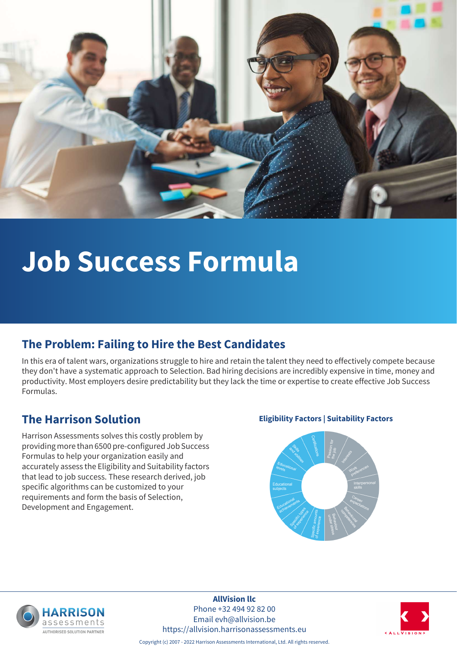

# **Job Success Formula**

#### **The Problem: Failing to Hire the Best Candidates**

In this era of talent wars, organizations struggle to hire and retain the talent they need to effectively compete because they don't have a systematic approach to Selection. Bad hiring decisions are incredibly expensive in time, money and productivity. Most employers desire predictability but they lack the time or expertise to create effective Job Success Formulas.

Harrison Assessments solves this costly problem by providing more than 6500 pre-configured Job Success Formulas to help your organization easily and accurately assess the Eligibility and Suitability factors that lead to job success. These research derived, job specific algorithms can be customized to your requirements and form the basis of Selection, Development and Engagement.

#### **The Harrison Solution Eligibility Factors | Suitability Factors**





**AllVision llc** Phone +32 494 92 82 00 Email evh@allvision.be https://allvision.harrisonassessments.eu



Copyright (c) 2007 - 2022 Harrison Assessments International, Ltd. All rights reserved.